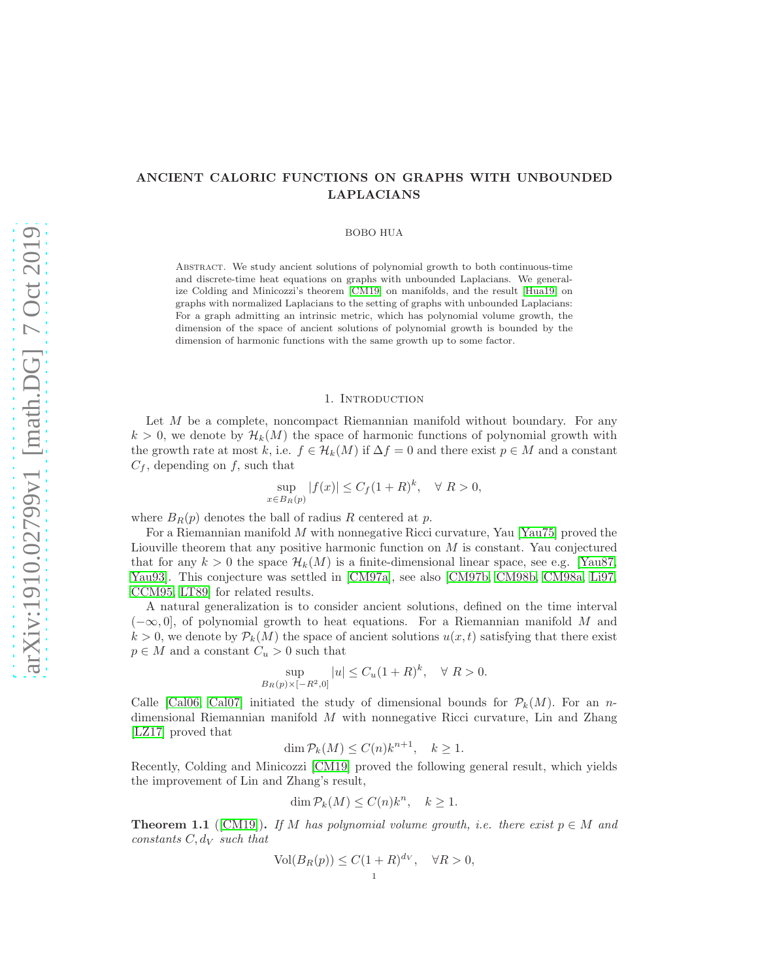# ANCIENT CALORIC FUNCTIONS ON GRAPHS WITH UNBOUNDED LAPLACIANS

## BOBO HUA

Abstract. We study ancient solutions of polynomial growth to both continuous-time and discrete-time heat equations on graphs with unbounded Laplacians. We generalize Colding and Minicozzi's theorem [\[CM19\]](#page-13-0) on manifolds, and the result [\[Hua19\]](#page-14-0) on graphs with normalized Laplacians to the setting of graphs with unbounded Laplacians: For a graph admitting an intrinsic metric, which has polynomial volume growth, the dimension of the space of ancient solutions of polynomial growth is bounded by the dimension of harmonic functions with the same growth up to some factor.

#### 1. INTRODUCTION

Let  $M$  be a complete, noncompact Riemannian manifold without boundary. For any  $k > 0$ , we denote by  $\mathcal{H}_k(M)$  the space of harmonic functions of polynomial growth with the growth rate at most k, i.e.  $f \in H_k(M)$  if  $\Delta f = 0$  and there exist  $p \in M$  and a constant  $C_f$ , depending on f, such that

$$
\sup_{x \in B_R(p)} |f(x)| \le C_f (1+R)^k, \quad \forall R > 0,
$$

where  $B_R(p)$  denotes the ball of radius R centered at p.

For a Riemannian manifold M with nonnegative Ricci curvature, Yau [\[Yau75\]](#page-14-1) proved the Liouville theorem that any positive harmonic function on  $M$  is constant. Yau conjectured that for any  $k > 0$  the space  $\mathcal{H}_k(M)$  is a finite-dimensional linear space, see e.g. [\[Yau87,](#page-14-2) [Yau93\]](#page-14-3). This conjecture was settled in [\[CM97a\]](#page-13-1), see also [\[CM97b,](#page-13-2) [CM98b,](#page-13-3) [CM98a,](#page-13-4) [Li97,](#page-14-4) [CCM95,](#page-13-5) [LT89\]](#page-14-5) for related results.

A natural generalization is to consider ancient solutions, defined on the time interval  $(-\infty, 0]$ , of polynomial growth to heat equations. For a Riemannian manifold M and  $k > 0$ , we denote by  $\mathcal{P}_k(M)$  the space of ancient solutions  $u(x, t)$  satisfying that there exist  $p \in M$  and a constant  $C_u > 0$  such that

$$
\sup_{B_R(p)\times[-R^2,0]}|u| \le C_u(1+R)^k, \quad \forall \ R > 0.
$$

Calle [\[Cal06,](#page-13-6) [Cal07\]](#page-13-7) initiated the study of dimensional bounds for  $\mathcal{P}_k(M)$ . For an ndimensional Riemannian manifold  $M$  with nonnegative Ricci curvature, Lin and Zhang [\[LZ17\]](#page-14-6) proved that

$$
\dim \mathcal{P}_k(M) \le C(n)k^{n+1}, \quad k \ge 1.
$$

Recently, Colding and Minicozzi [\[CM19\]](#page-13-0) proved the following general result, which yields the improvement of Lin and Zhang's result,

$$
\dim \mathcal{P}_k(M) \le C(n)k^n, \quad k \ge 1.
$$

<span id="page-0-0"></span>**Theorem 1.1** ([\[CM19\]](#page-13-0)). If M has polynomial volume growth, i.e. there exist  $p \in M$  and constants  $C, d_V$  such that

$$
\text{Vol}(B_R(p)) \le C(1+R)^{d_V}, \quad \forall R > 0,
$$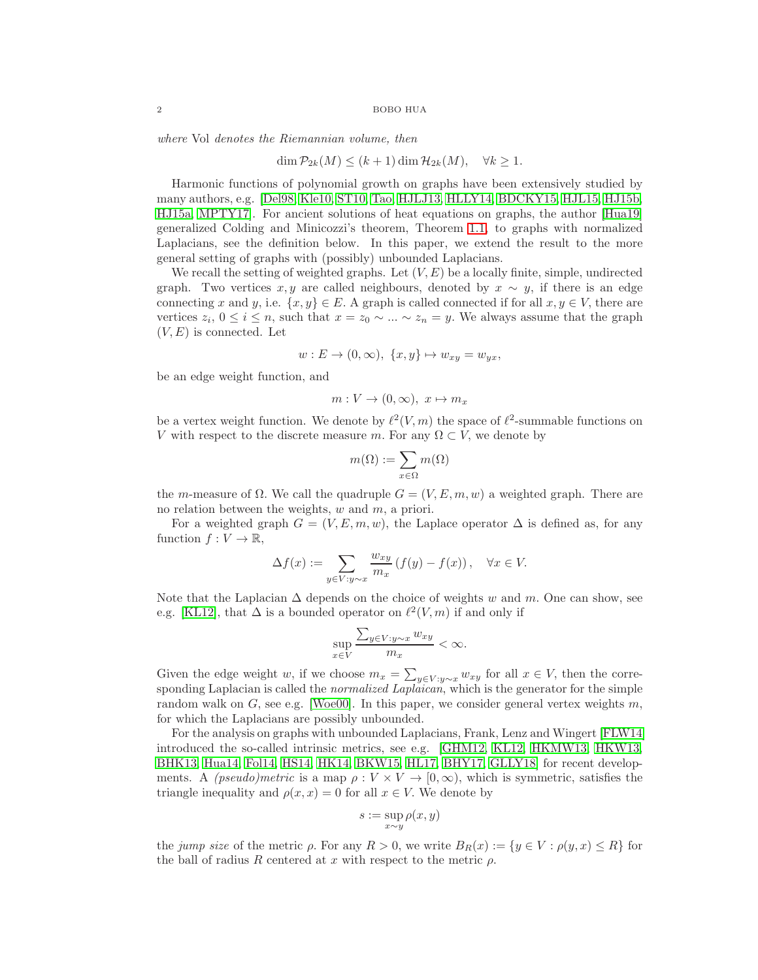where Vol denotes the Riemannian volume, then

$$
\dim \mathcal{P}_{2k}(M) \le (k+1) \dim \mathcal{H}_{2k}(M), \quad \forall k \ge 1.
$$

Harmonic functions of polynomial growth on graphs have been extensively studied by many authors, e.g. [\[Del98,](#page-13-8) [Kle10,](#page-14-7) [ST10,](#page-14-8) [Tao,](#page-14-9) [HJLJ13,](#page-13-9) [HLLY14,](#page-14-10) [BDCKY15,](#page-13-10) [HJL15,](#page-13-11) [HJ15b,](#page-13-12) [HJ15a,](#page-13-13) [MPTY17\]](#page-14-11). For ancient solutions of heat equations on graphs, the author [\[Hua19\]](#page-14-0) generalized Colding and Minicozzi's theorem, Theorem [1.1,](#page-0-0) to graphs with normalized Laplacians, see the definition below. In this paper, we extend the result to the more general setting of graphs with (possibly) unbounded Laplacians.

We recall the setting of weighted graphs. Let  $(V, E)$  be a locally finite, simple, undirected graph. Two vertices x, y are called neighbours, denoted by  $x \sim y$ , if there is an edge connecting x and y, i.e.  $\{x, y\} \in E$ . A graph is called connected if for all  $x, y \in V$ , there are vertices  $z_i$ ,  $0 \le i \le n$ , such that  $x = z_0 \sim ... \sim z_n = y$ . We always assume that the graph  $(V, E)$  is connected. Let

$$
w: E \to (0, \infty), \ \{x, y\} \mapsto w_{xy} = w_{yx},
$$

be an edge weight function, and

$$
m: V \to (0, \infty), \ x \mapsto m_x
$$

be a vertex weight function. We denote by  $\ell^2(V,m)$  the space of  $\ell^2$ -summable functions on V with respect to the discrete measure m. For any  $\Omega \subset V$ , we denote by

$$
m(\Omega):=\sum_{x\in\Omega}m(\Omega)
$$

the m-measure of  $\Omega$ . We call the quadruple  $G = (V, E, m, w)$  a weighted graph. There are no relation between the weights,  $w$  and  $m$ , a priori.

For a weighted graph  $G = (V, E, m, w)$ , the Laplace operator  $\Delta$  is defined as, for any function  $f: V \to \mathbb{R}$ ,

$$
\Delta f(x) := \sum_{y \in V: y \sim x} \frac{w_{xy}}{m_x} \left( f(y) - f(x) \right), \quad \forall x \in V.
$$

Note that the Laplacian  $\Delta$  depends on the choice of weights w and m. One can show, see e.g. [\[KL12\]](#page-14-12), that  $\Delta$  is a bounded operator on  $\ell^2(V,m)$  if and only if

$$
\sup_{x \in V} \frac{\sum_{y \in V: y \sim x} w_{xy}}{m_x} < \infty.
$$

Given the edge weight w, if we choose  $m_x = \sum_{y \in V : y \sim x} w_{xy}$  for all  $x \in V$ , then the corresponding Laplacian is called the *normalized Laplaican*, which is the generator for the simple random walk on  $G$ , see e.g. [\[Woe00\]](#page-14-13). In this paper, we consider general vertex weights m, for which the Laplacians are possibly unbounded.

For the analysis on graphs with unbounded Laplacians, Frank, Lenz and Wingert [\[FLW14\]](#page-13-14) introduced the so-called intrinsic metrics, see e.g. [\[GHM12,](#page-13-15) [KL12,](#page-14-12) [HKMW13,](#page-14-14) [HKW13,](#page-14-15) [BHK13,](#page-13-16) [Hua14,](#page-14-16) [Fol14,](#page-13-17) [HS14,](#page-14-17) [HK14,](#page-14-18) [BKW15,](#page-13-18) [HL17,](#page-14-19) [BHY17,](#page-13-19) [GLLY18\]](#page-13-20) for recent developments. A *(pseudo)metric* is a map  $\rho: V \times V \to [0, \infty)$ , which is symmetric, satisfies the triangle inequality and  $\rho(x, x) = 0$  for all  $x \in V$ . We denote by

$$
s:=\sup_{x\sim y}\rho(x,y)
$$

the jump size of the metric  $\rho$ . For any  $R > 0$ , we write  $B_R(x) := \{y \in V : \rho(y, x) \leq R\}$  for the ball of radius R centered at x with respect to the metric  $\rho$ .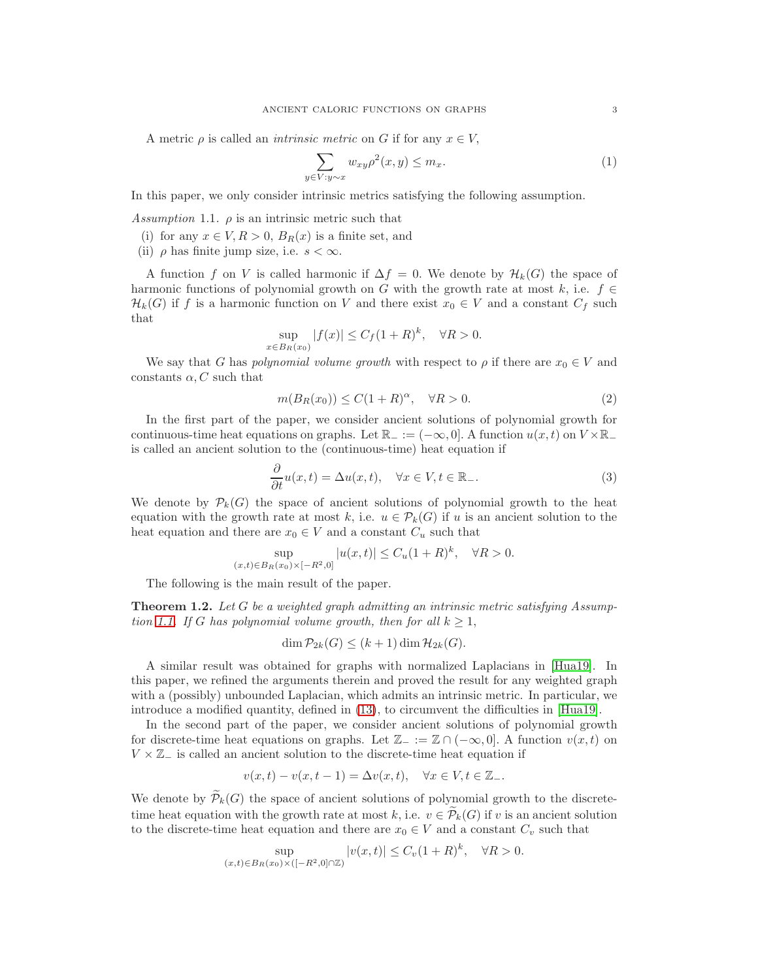A metric  $\rho$  is called an *intrinsic metric* on G if for any  $x \in V$ ,

<span id="page-2-3"></span>
$$
\sum_{y \in V: y \sim x} w_{xy} \rho^{2}(x, y) \leq m_x. \tag{1}
$$

In this paper, we only consider intrinsic metrics satisfying the following assumption.

<span id="page-2-0"></span>Assumption 1.1.  $\rho$  is an intrinsic metric such that

- (i) for any  $x \in V, R > 0, B_R(x)$  is a finite set, and
- (ii)  $\rho$  has finite jump size, i.e.  $s < \infty$ .

A function f on V is called harmonic if  $\Delta f = 0$ . We denote by  $\mathcal{H}_k(G)$  the space of harmonic functions of polynomial growth on G with the growth rate at most k, i.e.  $f \in$  $\mathcal{H}_k(G)$  if f is a harmonic function on V and there exist  $x_0 \in V$  and a constant  $C_f$  such that

$$
\sup_{x \in B_R(x_0)} |f(x)| \le C_f (1+R)^k, \quad \forall R > 0.
$$

We say that G has polynomial volume growth with respect to  $\rho$  if there are  $x_0 \in V$  and constants  $\alpha$ , C such that

<span id="page-2-4"></span>
$$
m(B_R(x_0)) \le C(1+R)^\alpha, \quad \forall R > 0.
$$
 (2)

In the first part of the paper, we consider ancient solutions of polynomial growth for continuous-time heat equations on graphs. Let  $\mathbb{R}_- := (-\infty, 0]$ . A function  $u(x, t)$  on  $V \times \mathbb{R}_$ is called an ancient solution to the (continuous-time) heat equation if

<span id="page-2-2"></span>
$$
\frac{\partial}{\partial t}u(x,t) = \Delta u(x,t), \quad \forall x \in V, t \in \mathbb{R}_-.
$$
\n(3)

We denote by  $\mathcal{P}_k(G)$  the space of ancient solutions of polynomial growth to the heat equation with the growth rate at most k, i.e.  $u \in \mathcal{P}_k(G)$  if u is an ancient solution to the heat equation and there are  $x_0 \in V$  and a constant  $C_u$  such that

$$
\sup_{(x,t)\in B_R(x_0)\times[-R^2,0]}|u(x,t)| \leq C_u(1+R)^k, \quad \forall R>0.
$$

The following is the main result of the paper.

<span id="page-2-1"></span>**Theorem 1.2.** Let G be a weighted graph admitting an intrinsic metric satisfying Assump-tion [1.1.](#page-2-0) If G has polynomial volume growth, then for all  $k \geq 1$ ,

$$
\dim \mathcal{P}_{2k}(G) \le (k+1)\dim \mathcal{H}_{2k}(G).
$$

A similar result was obtained for graphs with normalized Laplacians in [\[Hua19\]](#page-14-0). In this paper, we refined the arguments therein and proved the result for any weighted graph with a (possibly) unbounded Laplacian, which admits an intrinsic metric. In particular, we introduce a modified quantity, defined in [\(13\)](#page-6-0), to circumvent the difficulties in [\[Hua19\]](#page-14-0).

In the second part of the paper, we consider ancient solutions of polynomial growth for discrete-time heat equations on graphs. Let  $\mathbb{Z}_- := \mathbb{Z} \cap (-\infty, 0]$ . A function  $v(x, t)$  on  $V \times \mathbb{Z}$  is called an ancient solution to the discrete-time heat equation if

$$
v(x,t) - v(x,t-1) = \Delta v(x,t), \quad \forall x \in V, t \in \mathbb{Z}_-.
$$

We denote by  $\widetilde{\mathcal{P}}_k(G)$  the space of ancient solutions of polynomial growth to the discretetime heat equation with the growth rate at most k, i.e.  $v \in \widetilde{\mathcal{P}}_k(G)$  if v is an ancient solution to the discrete-time heat equation and there are  $x_0 \in V$  and a constant  $C_v$  such that

$$
\sup_{(x,t)\in B_R(x_0)\times ([-R^2,0]\cap \mathbb{Z})} |v(x,t)| \le C_v (1+R)^k, \quad \forall R > 0.
$$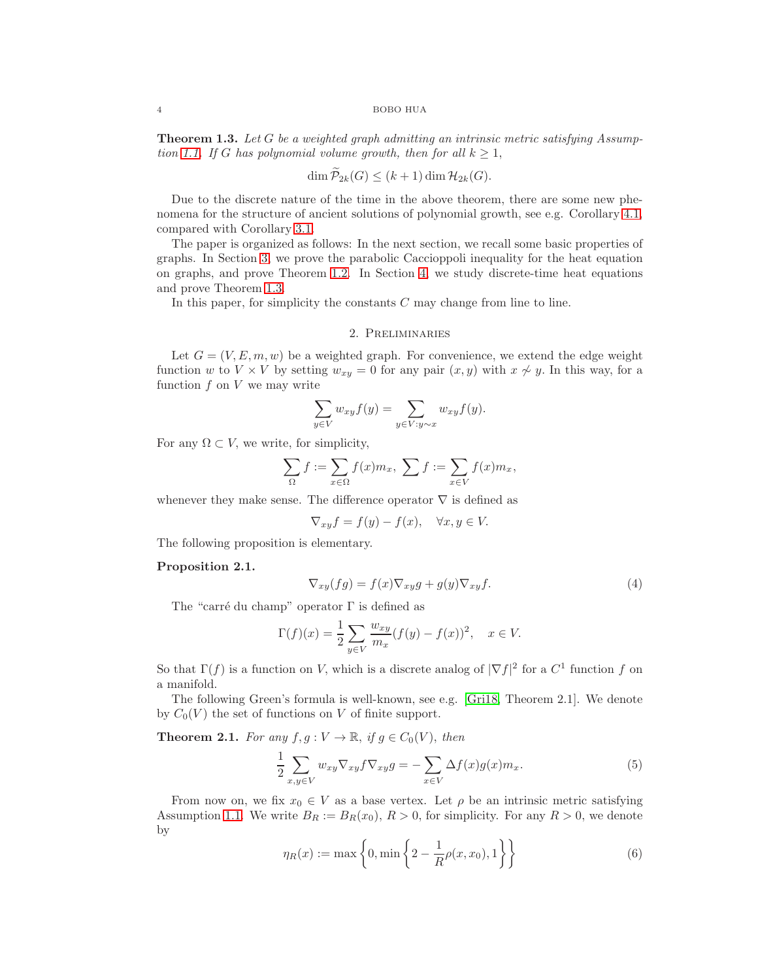#### 4 BOBO HUA

<span id="page-3-0"></span>**Theorem 1.3.** Let G be a weighted graph admitting an intrinsic metric satisfying Assump-tion [1.1.](#page-2-0) If G has polynomial volume growth, then for all  $k \geq 1$ ,

$$
\dim \mathcal{P}_{2k}(G) \le (k+1)\dim \mathcal{H}_{2k}(G).
$$

Due to the discrete nature of the time in the above theorem, there are some new phenomena for the structure of ancient solutions of polynomial growth, see e.g. Corollary [4.1,](#page-11-0) compared with Corollary [3.1.](#page-7-0)

The paper is organized as follows: In the next section, we recall some basic properties of graphs. In Section [3,](#page-5-0) we prove the parabolic Caccioppoli inequality for the heat equation on graphs, and prove Theorem [1.2.](#page-2-1) In Section [4,](#page-9-0) we study discrete-time heat equations and prove Theorem [1.3.](#page-3-0)

In this paper, for simplicity the constants C may change from line to line.

# 2. Preliminaries

Let  $G = (V, E, m, w)$  be a weighted graph. For convenience, we extend the edge weight function w to  $V \times V$  by setting  $w_{xy} = 0$  for any pair  $(x, y)$  with  $x \nsim y$ . In this way, for a function  $f$  on  $V$  we may write

$$
\sum_{y \in V} w_{xy} f(y) = \sum_{y \in V: y \sim x} w_{xy} f(y).
$$

For any  $\Omega \subset V$ , we write, for simplicity,

$$
\sum_{\Omega} f := \sum_{x \in \Omega} f(x) m_x, \ \sum f := \sum_{x \in V} f(x) m_x,
$$

whenever they make sense. The difference operator  $\nabla$  is defined as

$$
\nabla_{xy} f = f(y) - f(x), \quad \forall x, y \in V.
$$

The following proposition is elementary.

# Proposition 2.1.

<span id="page-3-3"></span>
$$
\nabla_{xy}(fg) = f(x)\nabla_{xy}g + g(y)\nabla_{xy}f.
$$
\n(4)

The "carré du champ" operator  $\Gamma$  is defined as

$$
\Gamma(f)(x) = \frac{1}{2} \sum_{y \in V} \frac{w_{xy}}{m_x} (f(y) - f(x))^2, \quad x \in V.
$$

So that  $\Gamma(f)$  is a function on V, which is a discrete analog of  $|\nabla f|^2$  for a  $C^1$  function f on a manifold.

The following Green's formula is well-known, see e.g. [\[Gri18,](#page-13-21) Theorem 2.1]. We denote by  $C_0(V)$  the set of functions on V of finite support.

**Theorem 2.1.** For any  $f, g: V \to \mathbb{R}$ , if  $g \in C_0(V)$ , then

<span id="page-3-2"></span>
$$
\frac{1}{2} \sum_{x,y \in V} w_{xy} \nabla_{xy} f \nabla_{xy} g = -\sum_{x \in V} \Delta f(x) g(x) m_x.
$$
 (5)

From now on, we fix  $x_0 \in V$  as a base vertex. Let  $\rho$  be an intrinsic metric satisfying Assumption [1.1.](#page-2-0) We write  $B_R := B_R(x_0), R > 0$ , for simplicity. For any  $R > 0$ , we denote by

<span id="page-3-1"></span>
$$
\eta_R(x) := \max\left\{0, \min\left\{2 - \frac{1}{R}\rho(x, x_0), 1\right\}\right\} \tag{6}
$$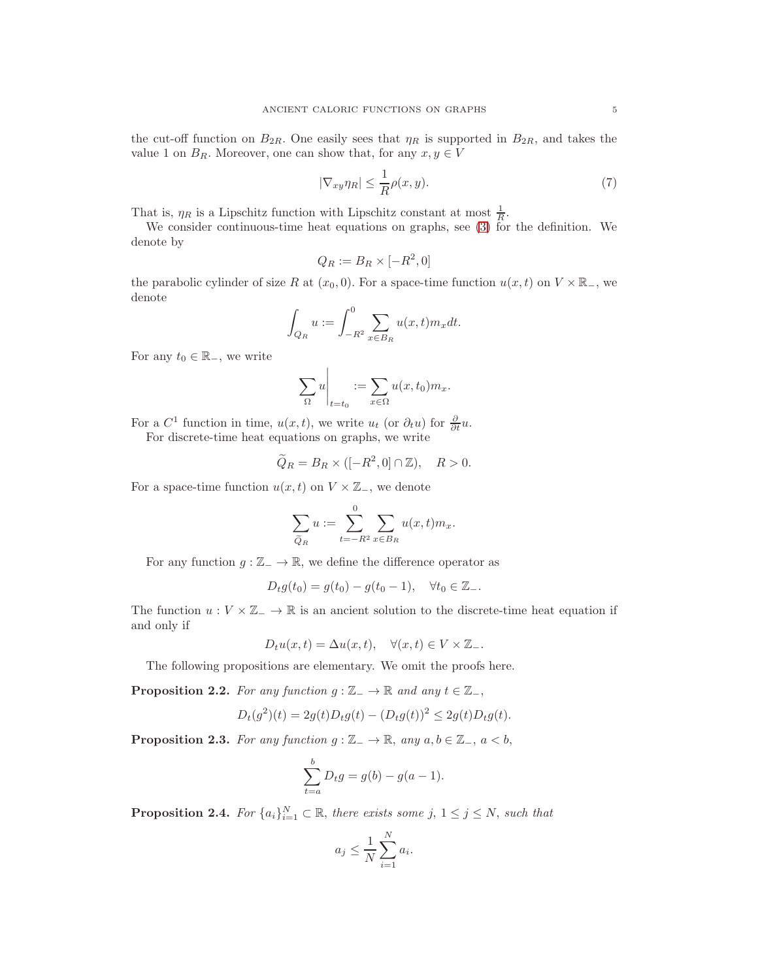the cut-off function on  $B_{2R}$ . One easily sees that  $\eta_R$  is supported in  $B_{2R}$ , and takes the value 1 on  $B_R$ . Moreover, one can show that, for any  $x, y \in V$ 

<span id="page-4-0"></span>
$$
|\nabla_{xy}\eta_R| \le \frac{1}{R}\rho(x,y). \tag{7}
$$

That is,  $\eta_R$  is a Lipschitz function with Lipschitz constant at most  $\frac{1}{R}$ .

We consider continuous-time heat equations on graphs, see [\(3\)](#page-2-2) for the definition. We denote by

$$
Q_R := B_R \times [-R^2, 0]
$$

the parabolic cylinder of size R at  $(x_0, 0)$ . For a space-time function  $u(x, t)$  on  $V \times \mathbb{R}_-$ , we denote

$$
\int_{Q_R} u := \int_{-R^2}^0 \sum_{x \in B_R} u(x, t) m_x dt.
$$

For any  $t_0 \in \mathbb{R}_-$ , we write

$$
\sum_{\Omega} u \bigg|_{t=t_0} := \sum_{x \in \Omega} u(x, t_0) m_x.
$$

For a  $C^1$  function in time,  $u(x,t)$ , we write  $u_t$  (or  $\partial_t u$ ) for  $\frac{\partial}{\partial t}u$ .

For discrete-time heat equations on graphs, we write

$$
\widetilde{Q}_R = B_R \times ([-R^2, 0] \cap \mathbb{Z}), \quad R > 0.
$$

For a space-time function  $u(x, t)$  on  $V \times \mathbb{Z}_-$ , we denote

$$
\sum_{\widetilde{Q}_R} u := \sum_{t=-R^2}^0 \sum_{x \in B_R} u(x,t) m_x.
$$

For any function  $g : \mathbb{Z}_{-} \to \mathbb{R}$ , we define the difference operator as

$$
D_t g(t_0) = g(t_0) - g(t_0 - 1), \quad \forall t_0 \in \mathbb{Z}_-.
$$

The function  $u: V \times \mathbb{Z} \to \mathbb{R}$  is an ancient solution to the discrete-time heat equation if and only if

$$
D_t u(x,t) = \Delta u(x,t), \quad \forall (x,t) \in V \times \mathbb{Z}_-.
$$

The following propositions are elementary. We omit the proofs here.

<span id="page-4-1"></span>**Proposition 2.2.** For any function  $g : \mathbb{Z}_{-} \to \mathbb{R}$  and any  $t \in \mathbb{Z}_{-}$ ,

$$
D_t(g^2)(t) = 2g(t)D_tg(t) - (D_tg(t))^2 \le 2g(t)D_tg(t).
$$

<span id="page-4-2"></span>**Proposition 2.3.** For any function  $g : \mathbb{Z}_- \to \mathbb{R}$ , any  $a, b \in \mathbb{Z}_-, a < b$ ,

$$
\sum_{t=a}^{b} D_t g = g(b) - g(a-1).
$$

<span id="page-4-3"></span>**Proposition 2.4.** For  ${a_i}_{i=1}^N \subset \mathbb{R}$ , there exists some  $j, 1 \le j \le N$ , such that

$$
a_j \le \frac{1}{N} \sum_{i=1}^N a_i.
$$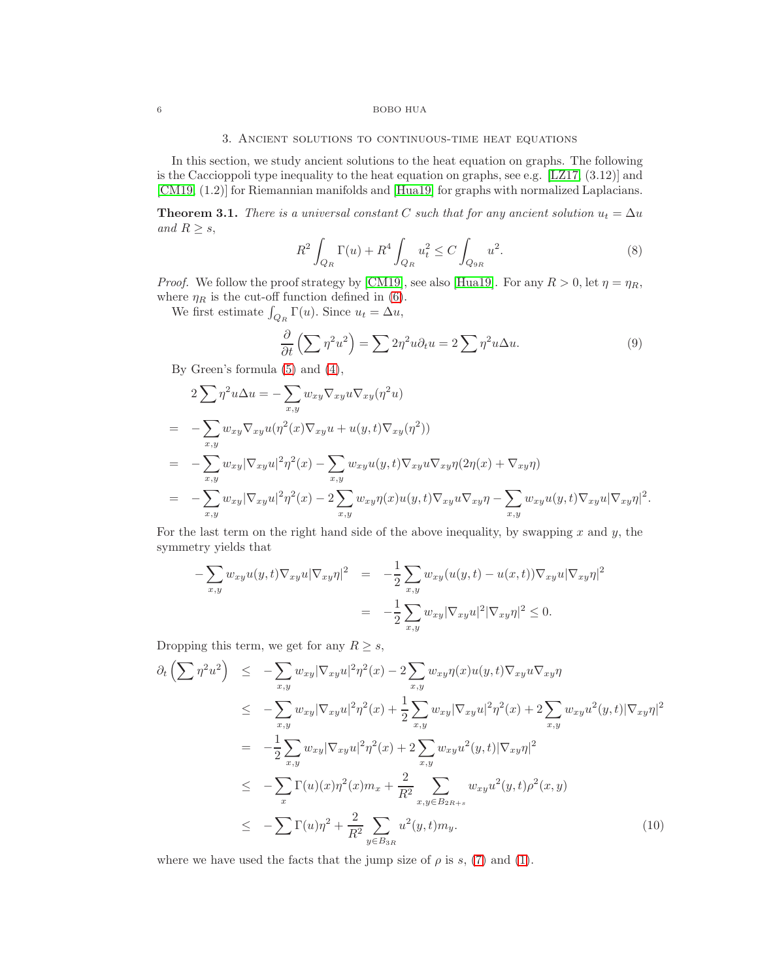## <span id="page-5-0"></span>6 BOBO HUA

# 3. Ancient solutions to continuous-time heat equations

In this section, we study ancient solutions to the heat equation on graphs. The following is the Caccioppoli type inequality to the heat equation on graphs, see e.g.  $[LZ17, (3.12)]$  and [\[CM19,](#page-13-0) (1.2)] for Riemannian manifolds and [\[Hua19\]](#page-14-0) for graphs with normalized Laplacians.

<span id="page-5-1"></span>**Theorem 3.1.** There is a universal constant C such that for any ancient solution  $u_t = \Delta u$ and  $R \geq s$ ,

$$
R^{2} \int_{Q_{R}} \Gamma(u) + R^{4} \int_{Q_{R}} u_{t}^{2} \le C \int_{Q_{9R}} u^{2}.
$$
 (8)

*Proof.* We follow the proof strategy by [\[CM19\]](#page-13-0), see also [\[Hua19\]](#page-14-0). For any  $R > 0$ , let  $\eta = \eta_R$ , where  $\eta_R$  is the cut-off function defined in [\(6\)](#page-3-1).

We first estimate  $\int_{Q_R} \Gamma(u)$ . Since  $u_t = \Delta u$ ,

<span id="page-5-2"></span>
$$
\frac{\partial}{\partial t} \left( \sum \eta^2 u^2 \right) = \sum 2\eta^2 u \partial_t u = 2 \sum \eta^2 u \Delta u. \tag{9}
$$

By Green's formula [\(5\)](#page-3-2) and [\(4\)](#page-3-3),

$$
2\sum \eta^2 u \Delta u = -\sum_{x,y} w_{xy} \nabla_{xy} u \nabla_{xy} (\eta^2 u)
$$
  
= 
$$
-\sum_{x,y} w_{xy} \nabla_{xy} u (\eta^2(x) \nabla_{xy} u + u(y,t) \nabla_{xy} (\eta^2))
$$
  
= 
$$
-\sum_{x,y} w_{xy} |\nabla_{xy} u|^2 \eta^2(x) - \sum_{x,y} w_{xy} u(y,t) \nabla_{xy} u \nabla_{xy} \eta(2\eta(x) + \nabla_{xy} \eta)
$$
  
= 
$$
-\sum_{x,y} w_{xy} |\nabla_{xy} u|^2 \eta^2(x) - 2 \sum_{x,y} w_{xy} \eta(x) u(y,t) \nabla_{xy} u \nabla_{xy} \eta - \sum_{x,y} w_{xy} u(y,t) \nabla_{xy} u |\nabla_{xy} \eta|^2.
$$

For the last term on the right hand side of the above inequality, by swapping  $x$  and  $y$ , the symmetry yields that

$$
-\sum_{x,y} w_{xy} u(y,t) \nabla_{xy} u |\nabla_{xy} \eta|^2 = -\frac{1}{2} \sum_{x,y} w_{xy} (u(y,t) - u(x,t)) \nabla_{xy} u |\nabla_{xy} \eta|^2
$$

$$
= -\frac{1}{2} \sum_{x,y} w_{xy} |\nabla_{xy} u|^2 |\nabla_{xy} \eta|^2 \le 0.
$$

Dropping this term, we get for any  $R \geq s$ ,

<span id="page-5-3"></span>
$$
\partial_t \left( \sum \eta^2 u^2 \right) \leq - \sum_{x,y} w_{xy} |\nabla_{xy} u|^2 \eta^2(x) - 2 \sum_{x,y} w_{xy} \eta(x) u(y, t) \nabla_{xy} u \nabla_{xy} \eta
$$
\n
$$
\leq - \sum_{x,y} w_{xy} |\nabla_{xy} u|^2 \eta^2(x) + \frac{1}{2} \sum_{x,y} w_{xy} |\nabla_{xy} u|^2 \eta^2(x) + 2 \sum_{x,y} w_{xy} u^2(y, t) |\nabla_{xy} \eta|^2
$$
\n
$$
= - \frac{1}{2} \sum_{x,y} w_{xy} |\nabla_{xy} u|^2 \eta^2(x) + 2 \sum_{x,y} w_{xy} u^2(y, t) |\nabla_{xy} \eta|^2
$$
\n
$$
\leq - \sum_x \Gamma(u)(x) \eta^2(x) m_x + \frac{2}{R^2} \sum_{x,y \in B_{2R+s}} w_{xy} u^2(y, t) \rho^2(x, y)
$$
\n
$$
\leq - \sum_x \Gamma(u) \eta^2 + \frac{2}{R^2} \sum_{y \in B_{3R}} u^2(y, t) m_y. \tag{10}
$$

where we have used the facts that the jump size of  $\rho$  is s, [\(7\)](#page-4-0) and [\(1\)](#page-2-3).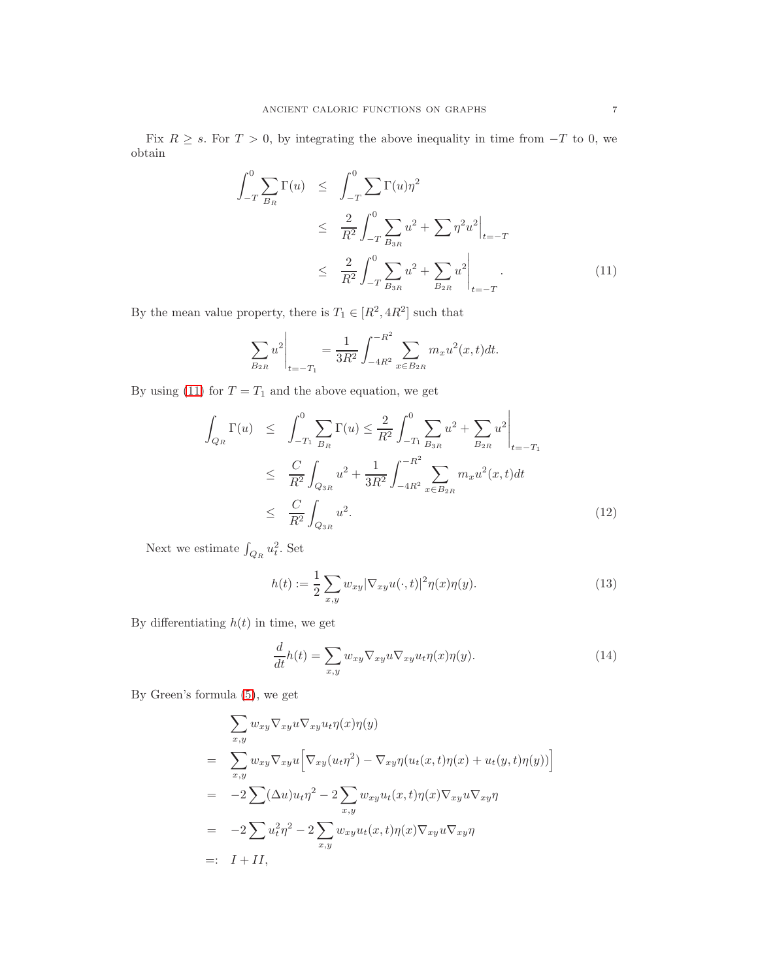Fix  $R \geq s$ . For  $T > 0$ , by integrating the above inequality in time from  $-T$  to 0, we obtain

<span id="page-6-1"></span>
$$
\int_{-T}^{0} \sum_{B_R} \Gamma(u) \leq \int_{-T}^{0} \sum \Gamma(u) \eta^2
$$
\n
$$
\leq \frac{2}{R^2} \int_{-T}^{0} \sum_{B_{3R}} u^2 + \sum \eta^2 u^2 \Big|_{t=-T}
$$
\n
$$
\leq \frac{2}{R^2} \int_{-T}^{0} \sum_{B_{3R}} u^2 + \sum_{B_{2R}} u^2 \Big|_{t=-T}
$$
\n(11)

By the mean value property, there is  $T_1 \in [R^2, 4R^2]$  such that

$$
\sum_{B_{2R}} u^2 \bigg|_{t=-T_1} = \frac{1}{3R^2} \int_{-4R^2}^{-R^2} \sum_{x \in B_{2R}} m_x u^2(x,t) dt.
$$

By using [\(11\)](#page-6-1) for  $T = T_1$  and the above equation, we get

<span id="page-6-2"></span>
$$
\int_{Q_R} \Gamma(u) \leq \int_{-T_1}^0 \sum_{B_R} \Gamma(u) \leq \frac{2}{R^2} \int_{-T_1}^0 \sum_{B_{3R}} u^2 + \sum_{B_{2R}} u^2 \Big|_{t=-T_1}
$$
\n
$$
\leq \frac{C}{R^2} \int_{Q_{3R}} u^2 + \frac{1}{3R^2} \int_{-4R^2}^{-R^2} \sum_{x \in B_{2R}} m_x u^2(x, t) dt
$$
\n
$$
\leq \frac{C}{R^2} \int_{Q_{3R}} u^2. \tag{12}
$$

Next we estimate  $\int_{Q_R} u_t^2$ . Set

<span id="page-6-0"></span>
$$
h(t) := \frac{1}{2} \sum_{x,y} w_{xy} |\nabla_{xy} u(\cdot, t)|^2 \eta(x) \eta(y).
$$
 (13)

By differentiating  $h(t)$  in time, we get

<span id="page-6-3"></span>
$$
\frac{d}{dt}h(t) = \sum_{x,y} w_{xy} \nabla_{xy} u \nabla_{xy} u_t \eta(x) \eta(y). \tag{14}
$$

By Green's formula [\(5\)](#page-3-2), we get

$$
\sum_{x,y} w_{xy} \nabla_{xy} u \nabla_{xy} u_t \eta(x) \eta(y)
$$
\n
$$
= \sum_{x,y} w_{xy} \nabla_{xy} u \Big[ \nabla_{xy} (u_t \eta^2) - \nabla_{xy} \eta (u_t(x, t) \eta(x) + u_t(y, t) \eta(y)) \Big]
$$
\n
$$
= -2 \sum (\Delta u) u_t \eta^2 - 2 \sum_{x,y} w_{xy} u_t(x, t) \eta(x) \nabla_{xy} u \nabla_{xy} \eta
$$
\n
$$
= -2 \sum u_t^2 \eta^2 - 2 \sum_{x,y} w_{xy} u_t(x, t) \eta(x) \nabla_{xy} u \nabla_{xy} \eta
$$
\n
$$
= I + II,
$$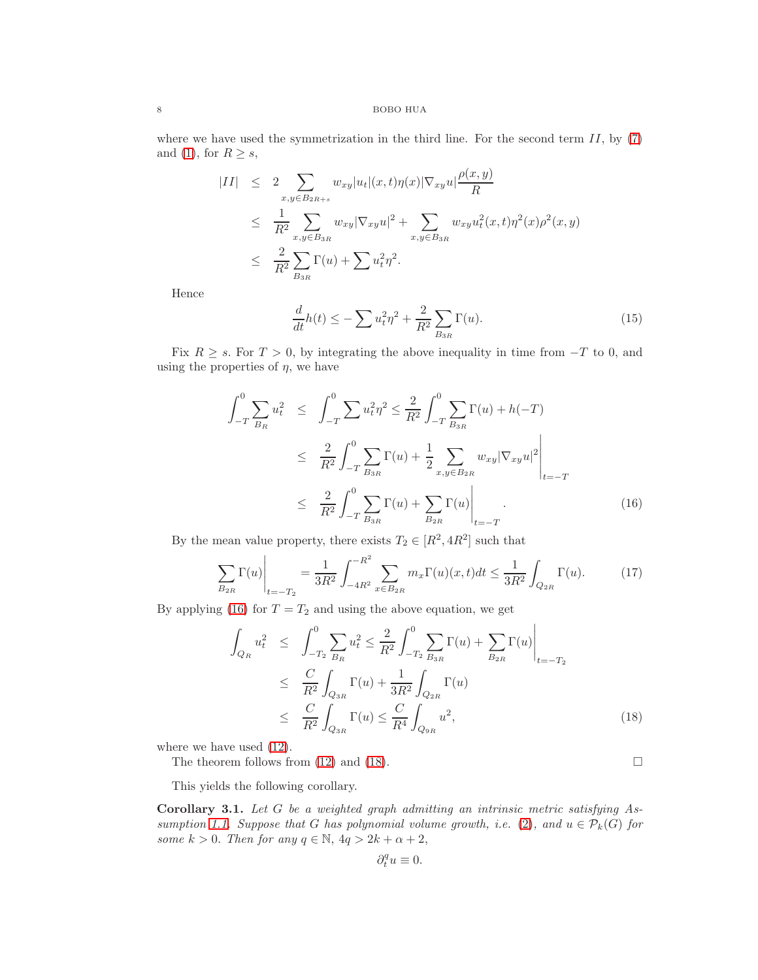where we have used the symmetrization in the third line. For the second term  $II$ , by  $(7)$ and [\(1\)](#page-2-3), for  $R \geq s$ ,

$$
|II| \leq 2 \sum_{x,y \in B_{2R+s}} w_{xy} |u_t|(x,t) \eta(x) |\nabla_{xy} u| \frac{\rho(x,y)}{R}
$$
  
\n
$$
\leq \frac{1}{R^2} \sum_{x,y \in B_{3R}} w_{xy} |\nabla_{xy} u|^2 + \sum_{x,y \in B_{3R}} w_{xy} u_t^2(x,t) \eta^2(x) \rho^2(x,y)
$$
  
\n
$$
\leq \frac{2}{R^2} \sum_{B_{3R}} \Gamma(u) + \sum u_t^2 \eta^2.
$$

Hence

$$
\frac{d}{dt}h(t) \le -\sum u_t^2 \eta^2 + \frac{2}{R^2} \sum_{B_{3R}} \Gamma(u). \tag{15}
$$

Fix  $R \geq s$ . For  $T > 0$ , by integrating the above inequality in time from  $-T$  to 0, and using the properties of  $\eta$ , we have

<span id="page-7-1"></span>
$$
\int_{-T}^{0} \sum_{B_R} u_t^2 \leq \int_{-T}^{0} \sum u_t^2 \eta^2 \leq \frac{2}{R^2} \int_{-T}^{0} \sum_{B_{3R}} \Gamma(u) + h(-T)
$$
\n
$$
\leq \frac{2}{R^2} \int_{-T}^{0} \sum_{B_{3R}} \Gamma(u) + \frac{1}{2} \sum_{x,y \in B_{2R}} w_{xy} |\nabla_{xy} u|^2 \Big|_{t=-T}
$$
\n
$$
\leq \frac{2}{R^2} \int_{-T}^{0} \sum_{B_{3R}} \Gamma(u) + \sum_{B_{2R}} \Gamma(u) \Big|_{t=-T} . \tag{16}
$$

By the mean value property, there exists  $T_2 \in [R^2, 4R^2]$  such that

$$
\sum_{B_{2R}} \Gamma(u) \Big|_{t=-T_2} = \frac{1}{3R^2} \int_{-4R^2}^{-R^2} \sum_{x \in B_{2R}} m_x \Gamma(u)(x, t) dt \le \frac{1}{3R^2} \int_{Q_{2R}} \Gamma(u). \tag{17}
$$

By applying [\(16\)](#page-7-1) for  $T = T_2$  and using the above equation, we get

<span id="page-7-2"></span>
$$
\int_{Q_R} u_t^2 \leq \int_{-T_2}^0 \sum_{B_R} u_t^2 \leq \frac{2}{R^2} \int_{-T_2}^0 \sum_{B_{3R}} \Gamma(u) + \sum_{B_{2R}} \Gamma(u) \Big|_{t=-T_2}
$$
\n
$$
\leq \frac{C}{R^2} \int_{Q_{3R}} \Gamma(u) + \frac{1}{3R^2} \int_{Q_{2R}} \Gamma(u)
$$
\n
$$
\leq \frac{C}{R^2} \int_{Q_{3R}} \Gamma(u) \leq \frac{C}{R^4} \int_{Q_{9R}} u^2,
$$
\n(18)

where we have used [\(12\)](#page-6-2).

The theorem follows from [\(12\)](#page-6-2) and [\(18\)](#page-7-2).  $\Box$ 

This yields the following corollary.

<span id="page-7-0"></span>Corollary 3.1. Let G be a weighted graph admitting an intrinsic metric satisfying As-sumption [1.1.](#page-2-0) Suppose that G has polynomial volume growth, i.e. [\(2\)](#page-2-4), and  $u \in \mathcal{P}_k(G)$  for some  $k > 0$ . Then for any  $q \in \mathbb{N}$ ,  $4q > 2k + \alpha + 2$ ,

$$
\partial_t^q u\equiv 0.
$$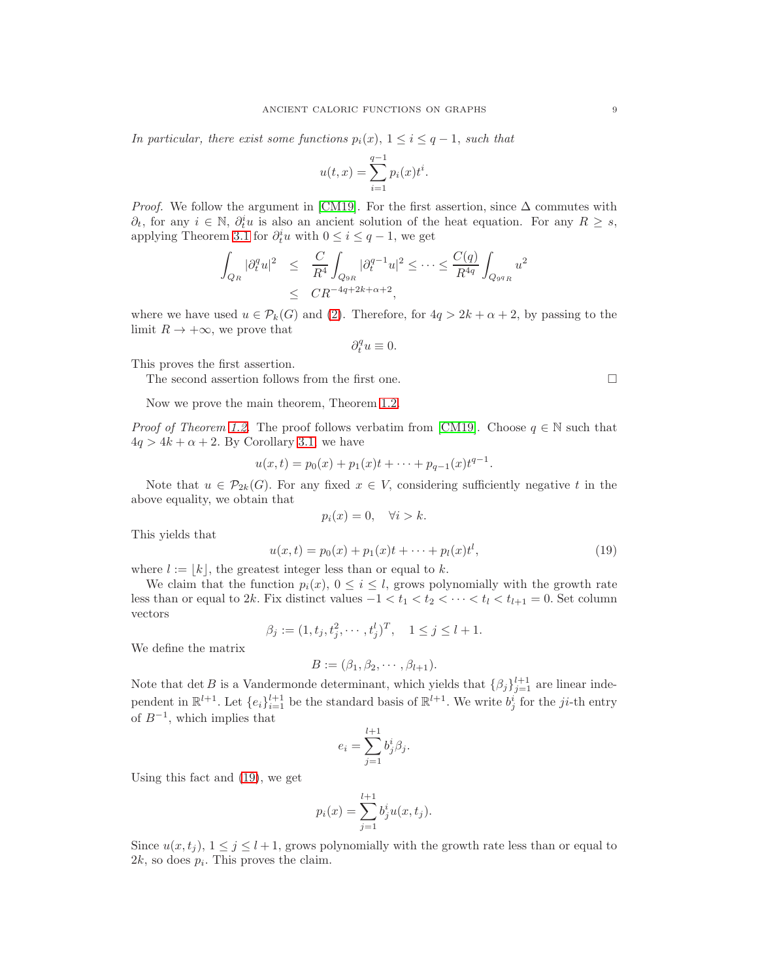In particular, there exist some functions  $p_i(x)$ ,  $1 \leq i \leq q-1$ , such that

$$
u(t,x) = \sum_{i=1}^{q-1} p_i(x) t^i.
$$

*Proof.* We follow the argument in [\[CM19\]](#page-13-0). For the first assertion, since  $\Delta$  commutes with  $\partial_t$ , for any  $i \in \mathbb{N}$ ,  $\partial_t^i u$  is also an ancient solution of the heat equation. For any  $R \geq s$ , applying Theorem [3.1](#page-5-1) for  $\partial_t^i u$  with  $0 \leq i \leq q-1$ , we get

$$
\int_{Q_R} |\partial_t^q u|^2 \leq \frac{C}{R^4} \int_{Q_{9R}} |\partial_t^{q-1} u|^2 \leq \dots \leq \frac{C(q)}{R^{4q}} \int_{Q_{9^q R}} u^2
$$
  

$$
\leq CR^{-4q+2k+\alpha+2},
$$

where we have used  $u \in \mathcal{P}_k(G)$  and [\(2\)](#page-2-4). Therefore, for  $4q > 2k + \alpha + 2$ , by passing to the limit  $R \to +\infty$ , we prove that

$$
\partial_t^q u\equiv 0.
$$

This proves the first assertion.

The second assertion follows from the first one.  $\Box$ 

Now we prove the main theorem, Theorem [1.2.](#page-2-1)

*Proof of Theorem [1.2.](#page-2-1)* The proof follows verbatim from [\[CM19\]](#page-13-0). Choose  $q \in \mathbb{N}$  such that  $4q > 4k + \alpha + 2$ . By Corollary [3.1,](#page-7-0) we have

$$
u(x,t) = p_0(x) + p_1(x)t + \cdots + p_{q-1}(x)t^{q-1}.
$$

Note that  $u \in \mathcal{P}_{2k}(G)$ . For any fixed  $x \in V$ , considering sufficiently negative t in the above equality, we obtain that

$$
p_i(x) = 0, \quad \forall i > k.
$$

This yields that

<span id="page-8-0"></span>
$$
u(x,t) = p_0(x) + p_1(x)t + \dots + p_l(x)t^l,
$$
\n(19)

where  $l := |k|$ , the greatest integer less than or equal to k.

We claim that the function  $p_i(x)$ ,  $0 \leq i \leq l$ , grows polynomially with the growth rate less than or equal to 2k. Fix distinct values  $-1 < t_1 < t_2 < \cdots < t_l < t_{l+1} = 0$ . Set column vectors

$$
\beta_j := (1, t_j, t_j^2, \cdots, t_j^l)^T, \quad 1 \le j \le l+1.
$$

We define the matrix

$$
B := (\beta_1, \beta_2, \cdots, \beta_{l+1}).
$$

Note that det B is a Vandermonde determinant, which yields that  $\{\beta_j\}_{j=1}^{l+1}$  are linear independent in  $\mathbb{R}^{l+1}$ . Let  $\{e_i\}_{i=1}^{l+1}$  be the standard basis of  $\mathbb{R}^{l+1}$ . We write  $b_j^i$  for the ji-th entry of  $B^{-1}$ , which implies that

$$
e_i = \sum_{j=1}^{l+1} b_j^i \beta_j.
$$

Using this fact and [\(19\)](#page-8-0), we get

$$
p_i(x) = \sum_{j=1}^{l+1} b_j^i u(x, t_j).
$$

Since  $u(x, t_i)$ ,  $1 \leq j \leq l+1$ , grows polynomially with the growth rate less than or equal to  $2k$ , so does  $p_i$ . This proves the claim.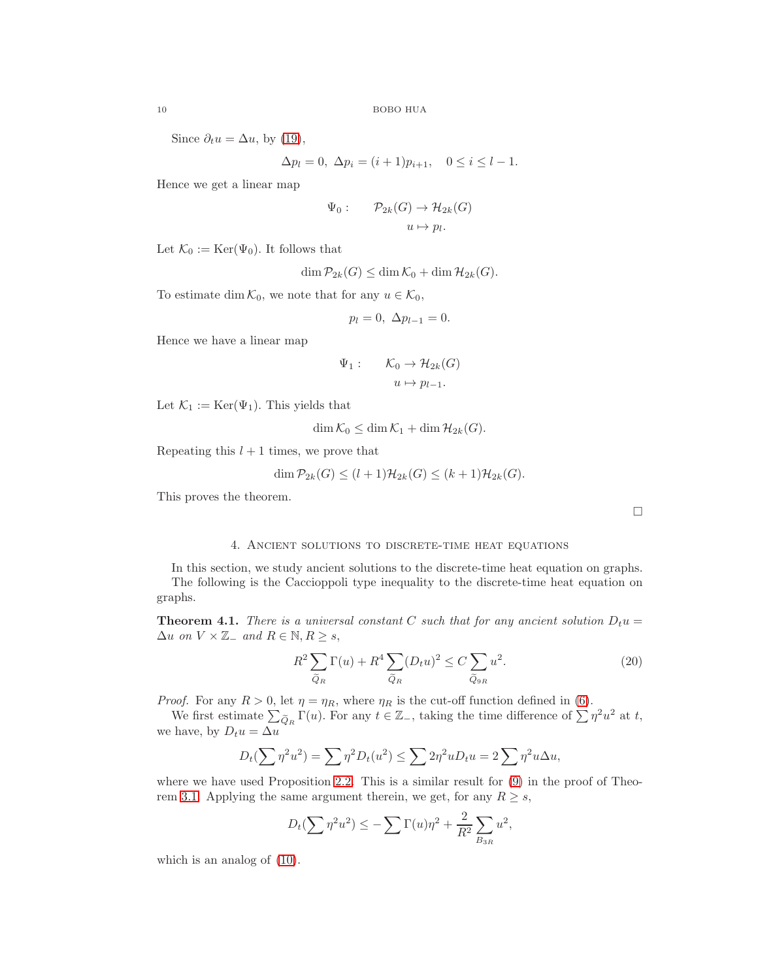Since  $\partial_t u = \Delta u$ , by [\(19\)](#page-8-0),

$$
\Delta p_l = 0, \ \Delta p_i = (i+1)p_{i+1}, \quad 0 \le i \le l-1.
$$

Hence we get a linear map

$$
\Psi_0: \qquad \mathcal{P}_{2k}(G) \to \mathcal{H}_{2k}(G)
$$

$$
u \mapsto p_l.
$$

Let  $\mathcal{K}_0 := \text{Ker}(\Psi_0)$ . It follows that

$$
\dim \mathcal{P}_{2k}(G) \le \dim \mathcal{K}_0 + \dim \mathcal{H}_{2k}(G).
$$

To estimate dim  $\mathcal{K}_0$ , we note that for any  $u \in \mathcal{K}_0$ ,

$$
p_l = 0, \ \Delta p_{l-1} = 0.
$$

Hence we have a linear map

$$
\Psi_1: \qquad \mathcal{K}_0 \to \mathcal{H}_{2k}(G)
$$

$$
u \mapsto p_{l-1}.
$$

Let  $\mathcal{K}_1 := \text{Ker}(\Psi_1)$ . This yields that

$$
\dim \mathcal{K}_0 \le \dim \mathcal{K}_1 + \dim \mathcal{H}_{2k}(G).
$$

Repeating this  $l + 1$  times, we prove that

$$
\dim \mathcal{P}_{2k}(G) \le (l+1)\mathcal{H}_{2k}(G) \le (k+1)\mathcal{H}_{2k}(G).
$$

<span id="page-9-0"></span>This proves the theorem.

 $\Box$ 

# 4. Ancient solutions to discrete-time heat equations

In this section, we study ancient solutions to the discrete-time heat equation on graphs. The following is the Caccioppoli type inequality to the discrete-time heat equation on graphs.

**Theorem 4.1.** There is a universal constant C such that for any ancient solution  $D_t u =$  $\Delta u$  on  $V \times \mathbb{Z}_-$  and  $R \in \mathbb{N}, R \geq s$ ,

$$
R^2 \sum_{\widetilde{Q}_R} \Gamma(u) + R^4 \sum_{\widetilde{Q}_R} (D_t u)^2 \le C \sum_{\widetilde{Q}_{9R}} u^2.
$$
 (20)

*Proof.* For any  $R > 0$ , let  $\eta = \eta_R$ , where  $\eta_R$  is the cut-off function defined in [\(6\)](#page-3-1).

We first estimate  $\sum_{\widetilde{Q}_R} \Gamma(u)$ . For any  $t \in \mathbb{Z}_-$ , taking the time difference of  $\sum \eta^2 u^2$  at t, we have, by  $D_t u = \Delta u$ 

$$
D_t(\sum \eta^2 u^2) = \sum \eta^2 D_t(u^2) \le \sum 2\eta^2 u D_t u = 2 \sum \eta^2 u \Delta u,
$$

where we have used Proposition [2.2.](#page-4-1) This is a similar result for  $(9)$  in the proof of Theo-rem [3.1.](#page-5-1) Applying the same argument therein, we get, for any  $R \geq s$ ,

$$
D_t(\sum \eta^2 u^2) \leq -\sum \Gamma(u)\eta^2 + \frac{2}{R^2} \sum_{B_{3R}} u^2,
$$

which is an analog of [\(10\)](#page-5-3).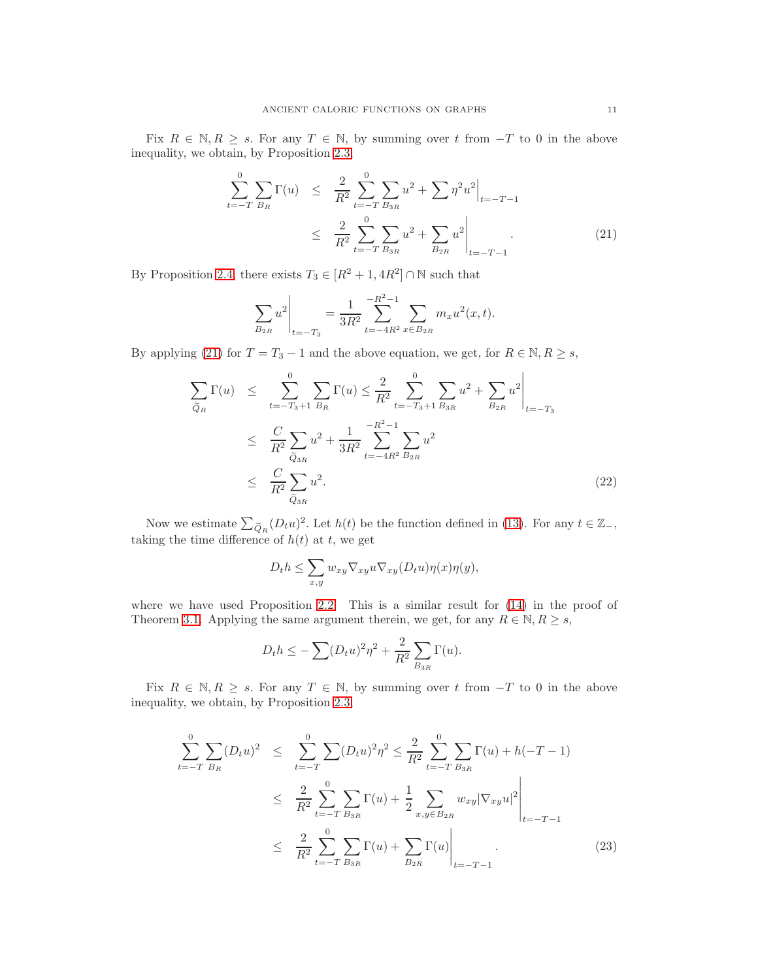Fix  $R \in \mathbb{N}, R \geq s$ . For any  $T \in \mathbb{N}$ , by summing over t from  $-T$  to 0 in the above inequality, we obtain, by Proposition [2.3,](#page-4-2)

<span id="page-10-0"></span>
$$
\sum_{t=-T}^{0} \sum_{B_R} \Gamma(u) \leq \frac{2}{R^2} \sum_{t=-T}^{0} \sum_{B_{3R}} u^2 + \sum \eta^2 u^2 \Big|_{t=-T-1}
$$
\n
$$
\leq \frac{2}{R^2} \sum_{t=-T}^{0} \sum_{B_{3R}} u^2 + \sum_{B_{2R}} u^2 \Big|_{t=-T-1}.
$$
\n(21)

By Proposition [2.4,](#page-4-3) there exists  $T_3 \in [R^2 + 1, 4R^2] \cap \mathbb{N}$  such that

$$
\sum_{B_{2R}} u^2 \bigg|_{t=-T_3} = \frac{1}{3R^2} \sum_{t=-4R^2}^{-R^2-1} \sum_{x \in B_{2R}} m_x u^2(x,t).
$$

By applying [\(21\)](#page-10-0) for  $T = T_3 - 1$  and the above equation, we get, for  $R \in \mathbb{N}, R \geq s$ ,

<span id="page-10-2"></span>
$$
\sum_{\widetilde{Q}_R} \Gamma(u) \leq \sum_{t=-T_3+1}^0 \sum_{B_R} \Gamma(u) \leq \frac{2}{R^2} \sum_{t=-T_3+1}^0 \sum_{B_{3R}} u^2 + \sum_{B_{2R}} u^2 \Big|_{t=-T_3}
$$
\n
$$
\leq \frac{C}{R^2} \sum_{\widetilde{Q}_{3R}} u^2 + \frac{1}{3R^2} \sum_{t=-4R^2}^{-R^2-1} \sum_{B_{2R}} u^2
$$
\n
$$
\leq \frac{C}{R^2} \sum_{\widetilde{Q}_{3R}} u^2. \tag{22}
$$

Now we estimate  $\sum_{\widetilde{Q}_R}(D_t u)^2$ . Let  $h(t)$  be the function defined in [\(13\)](#page-6-0). For any  $t \in \mathbb{Z}_{-}$ , taking the time difference of  $h(t)$  at t, we get

$$
D_t h \leq \sum_{x,y} w_{xy} \nabla_{xy} u \nabla_{xy} (D_t u) \eta(x) \eta(y),
$$

where we have used Proposition [2.2.](#page-4-1) This is a similar result for [\(14\)](#page-6-3) in the proof of Theorem [3.1.](#page-5-1) Applying the same argument therein, we get, for any  $R \in \mathbb{N}, R \geq s$ ,

$$
D_t h \leq -\sum (D_t u)^2 \eta^2 + \frac{2}{R^2} \sum_{B_{3R}} \Gamma(u).
$$

Fix  $R \in \mathbb{N}, R \geq s$ . For any  $T \in \mathbb{N}$ , by summing over t from  $-T$  to 0 in the above inequality, we obtain, by Proposition [2.3,](#page-4-2)

<span id="page-10-1"></span>
$$
\sum_{t=-T}^{0} \sum_{B_R} (D_t u)^2 \leq \sum_{t=-T}^{0} \sum_{D \leq R} (D_t u)^2 \eta^2 \leq \frac{2}{R^2} \sum_{t=-T}^{0} \sum_{B_{3R}} \Gamma(u) + h(-T - 1)
$$
\n
$$
\leq \frac{2}{R^2} \sum_{t=-T}^{0} \sum_{B_{3R}} \Gamma(u) + \frac{1}{2} \sum_{x,y \in B_{2R}} w_{xy} |\nabla_{xy} u|^2 \Big|_{t=-T-1}
$$
\n
$$
\leq \frac{2}{R^2} \sum_{t=-T}^{0} \sum_{B_{3R}} \Gamma(u) + \sum_{B_{2R}} \Gamma(u) \Big|_{t=-T-1} .
$$
\n(23)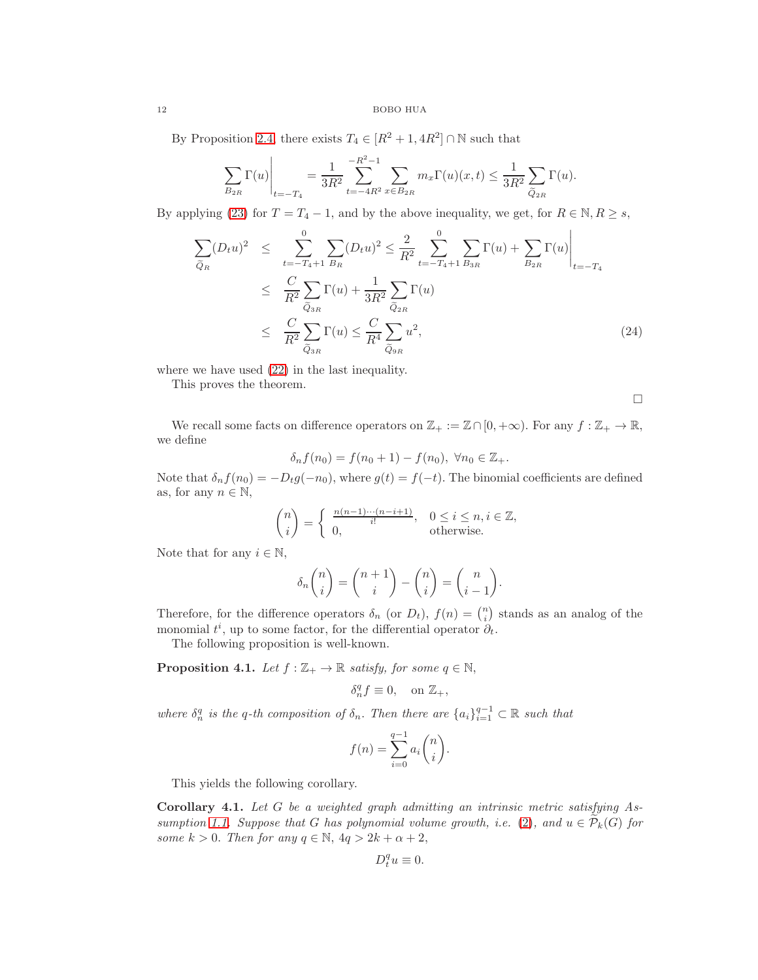## 12 BOBO HUA

By Proposition [2.4,](#page-4-3) there exists  $T_4 \in [R^2 + 1, 4R^2] \cap \mathbb{N}$  such that

$$
\sum_{B_{2R}} \Gamma(u) \Big|_{t=-T_4} = \frac{1}{3R^2} \sum_{t=-4R^2}^{-R^2-1} \sum_{x \in B_{2R}} m_x \Gamma(u)(x,t) \le \frac{1}{3R^2} \sum_{\widetilde{Q}_{2R}} \Gamma(u).
$$

By applying [\(23\)](#page-10-1) for  $T = T_4 - 1$ , and by the above inequality, we get, for  $R \in \mathbb{N}, R \geq s$ ,

$$
\sum_{\tilde{Q}_R} (D_t u)^2 \leq \sum_{t=-T_4+1}^0 \sum_{B_R} (D_t u)^2 \leq \frac{2}{R^2} \sum_{t=-T_4+1}^0 \sum_{B_{3R}} \Gamma(u) + \sum_{B_{2R}} \Gamma(u) \Big|_{t=-T_4}
$$
\n
$$
\leq \frac{C}{R^2} \sum_{\tilde{Q}_{3R}} \Gamma(u) + \frac{1}{3R^2} \sum_{\tilde{Q}_{2R}} \Gamma(u)
$$
\n
$$
\leq \frac{C}{R^2} \sum_{\tilde{Q}_{3R}} \Gamma(u) \leq \frac{C}{R^4} \sum_{\tilde{Q}_{3R}} u^2,
$$
\n(24)

where we have used [\(22\)](#page-10-2) in the last inequality.

This proves the theorem.

 $\Box$ 

We recall some facts on difference operators on  $\mathbb{Z}_+ := \mathbb{Z} \cap [0, +\infty)$ . For any  $f : \mathbb{Z}_+ \to \mathbb{R}$ , we define

$$
\delta_n f(n_0) = f(n_0 + 1) - f(n_0), \ \forall n_0 \in \mathbb{Z}_+.
$$

Note that  $\delta_n f(n_0) = -D_t g(-n_0)$ , where  $g(t) = f(-t)$ . The binomial coefficients are defined as, for any  $n \in \mathbb{N}$ ,

$$
\binom{n}{i} = \begin{cases} \frac{n(n-1)\cdots(n-i+1)}{i!}, & 0 \le i \le n, i \in \mathbb{Z}, \\ 0, & \text{otherwise.} \end{cases}
$$

Note that for any  $i \in \mathbb{N}$ ,

$$
\delta_n \binom{n}{i} = \binom{n+1}{i} - \binom{n}{i} = \binom{n}{i-1}.
$$

Therefore, for the difference operators  $\delta_n$  (or  $D_t$ ),  $f(n) = \binom{n}{i}$  stands as an analog of the monomial  $t^i$ , up to some factor, for the differential operator  $\partial_t$ .

The following proposition is well-known.

<span id="page-11-1"></span>**Proposition 4.1.** Let  $f : \mathbb{Z}_+ \to \mathbb{R}$  satisfy, for some  $q \in \mathbb{N}$ ,

$$
\delta_n^q f \equiv 0, \quad \text{on } \mathbb{Z}_+,
$$

where  $\delta_n^q$  is the q-th composition of  $\delta_n$ . Then there are  $\{a_i\}_{i=1}^{q-1} \subset \mathbb{R}$  such that

$$
f(n) = \sum_{i=0}^{q-1} a_i \binom{n}{i}
$$

.

This yields the following corollary.

<span id="page-11-0"></span>Corollary 4.1. Let G be a weighted graph admitting an intrinsic metric satisfying As-sumption [1.1.](#page-2-0) Suppose that G has polynomial volume growth, i.e. [\(2\)](#page-2-4), and  $u \in \mathcal{P}_k(G)$  for some  $k > 0$ . Then for any  $q \in \mathbb{N}$ ,  $4q > 2k + \alpha + 2$ ,

$$
D_t^q u \equiv 0.
$$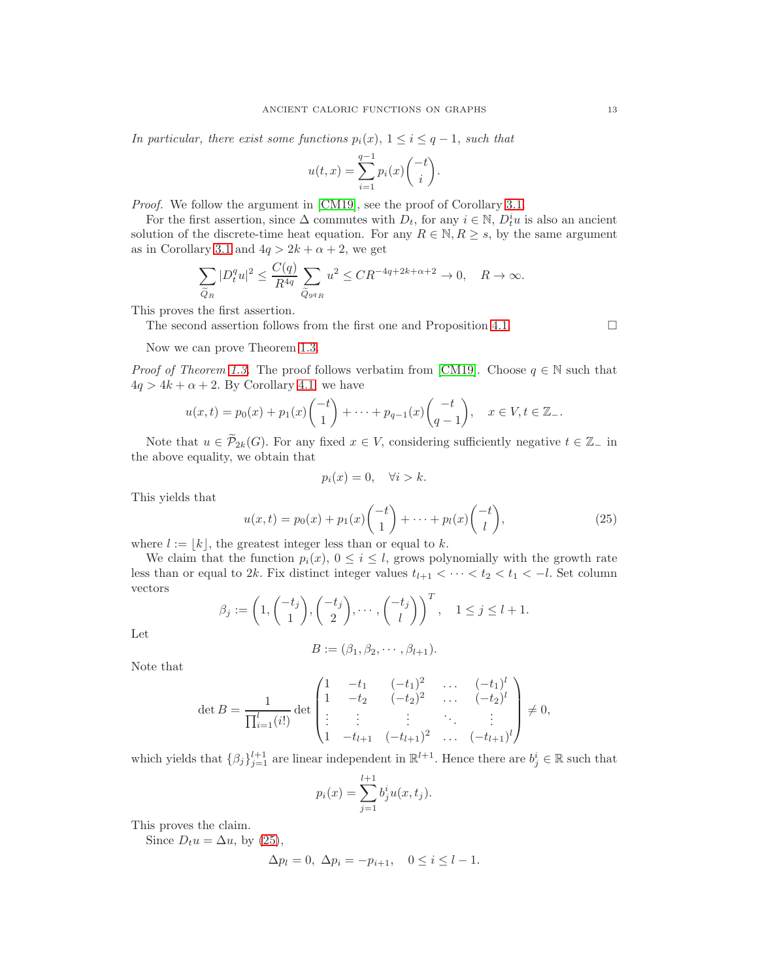In particular, there exist some functions  $p_i(x)$ ,  $1 \leq i \leq q-1$ , such that

$$
u(t, x) = \sum_{i=1}^{q-1} p_i(x) {t \choose i}.
$$

Proof. We follow the argument in [\[CM19\]](#page-13-0), see the proof of Corollary [3.1.](#page-7-0)

For the first assertion, since  $\Delta$  commutes with  $D_t$ , for any  $i \in \mathbb{N}$ ,  $D_t^i u$  is also an ancient solution of the discrete-time heat equation. For any  $R \in \mathbb{N}, R \geq s$ , by the same argument as in Corollary [3.1](#page-7-0) and  $4q > 2k + \alpha + 2$ , we get

$$
\sum_{\widetilde{Q}_R} |D_t^q u|^2 \le \frac{C(q)}{R^{4q}} \sum_{\widetilde{Q}_{9^q R}} u^2 \le CR^{-4q + 2k + \alpha + 2} \to 0, \quad R \to \infty.
$$

This proves the first assertion.

The second assertion follows from the first one and Proposition [4.1.](#page-11-1)  $\Box$ 

Now we can prove Theorem [1.3.](#page-3-0)

*Proof of Theorem [1.3.](#page-3-0)* The proof follows verbatim from [\[CM19\]](#page-13-0). Choose  $q \in \mathbb{N}$  such that  $4q > 4k + \alpha + 2$ . By Corollary [4.1,](#page-11-0) we have

$$
u(x,t) = p_0(x) + p_1(x) \begin{pmatrix} -t \\ 1 \end{pmatrix} + \dots + p_{q-1}(x) \begin{pmatrix} -t \\ q-1 \end{pmatrix}, \quad x \in V, t \in \mathbb{Z}_-.
$$

Note that  $u \in \widetilde{\mathcal{P}}_{2k}(G)$ . For any fixed  $x \in V$ , considering sufficiently negative  $t \in \mathbb{Z}_-$  in the above equality, we obtain that

$$
p_i(x) = 0, \quad \forall i > k.
$$

This yields that

<span id="page-12-0"></span>
$$
u(x,t) = p_0(x) + p_1(x) \binom{-t}{1} + \dots + p_l(x) \binom{-t}{l}, \tag{25}
$$

where  $l := |k|$ , the greatest integer less than or equal to k.

We claim that the function  $p_i(x)$ ,  $0 \leq i \leq l$ , grows polynomially with the growth rate less than or equal to 2k. Fix distinct integer values  $t_{l+1} < \cdots < t_2 < t_1 < -l$ . Set column vectors

$$
\beta_j := \left(1, \binom{-t_j}{1}, \binom{-t_j}{2}, \cdots, \binom{-t_j}{l}\right)^T, \quad 1 \le j \le l+1.
$$

Let

$$
B := (\beta_1, \beta_2, \cdots, \beta_{l+1}).
$$

Note that

$$
\det B = \frac{1}{\prod_{i=1}^{l} (i!)} \det \begin{pmatrix} 1 & -t_1 & (-t_1)^2 & \dots & (-t_1)^l \\ 1 & -t_2 & (-t_2)^2 & \dots & (-t_2)^l \\ \vdots & \vdots & \vdots & \ddots & \vdots \\ 1 & -t_{l+1} & (-t_{l+1})^2 & \dots & (-t_{l+1})^l \end{pmatrix} \neq 0,
$$

which yields that  $\{\beta_j\}_{j=1}^{l+1}$  are linear independent in  $\mathbb{R}^{l+1}$ . Hence there are  $b_j^i \in \mathbb{R}$  such that

$$
p_i(x) = \sum_{j=1}^{l+1} b_j^i u(x, t_j).
$$

This proves the claim.

Since  $D_t u = \Delta u$ , by [\(25\)](#page-12-0),

$$
\Delta p_l = 0, \ \Delta p_i = -p_{i+1}, \quad 0 \le i \le l-1.
$$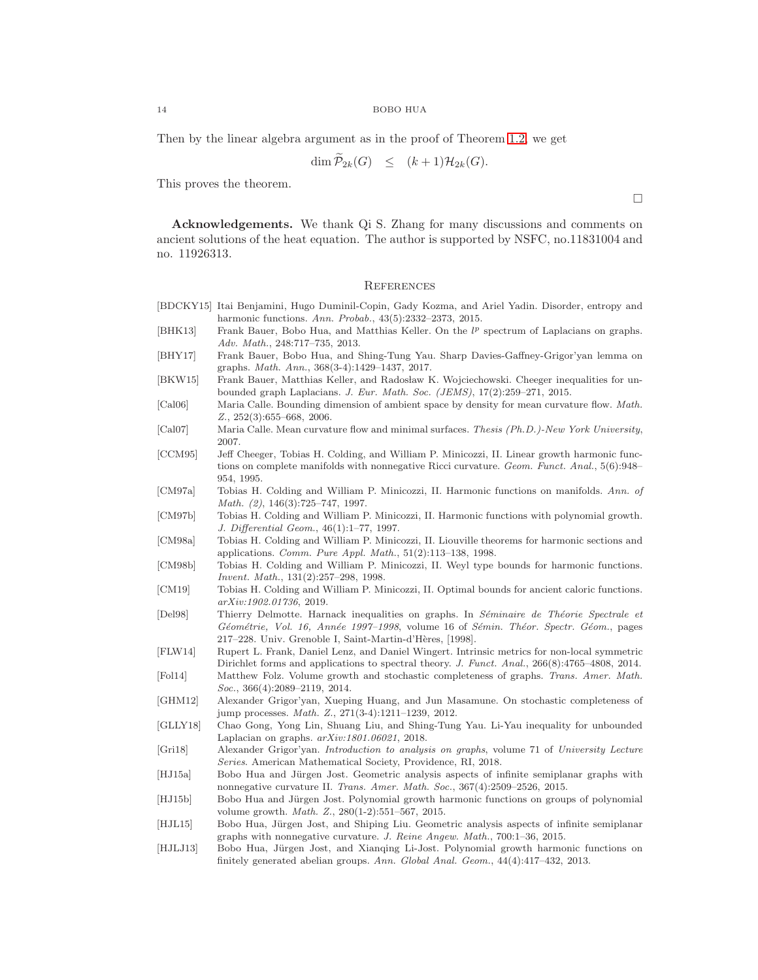Then by the linear algebra argument as in the proof of Theorem [1.2,](#page-2-1) we get

$$
\dim \mathcal{P}_{2k}(G) \leq (k+1)\mathcal{H}_{2k}(G).
$$

This proves the theorem.

 $\Box$ 

Acknowledgements. We thank Qi S. Zhang for many discussions and comments on ancient solutions of the heat equation. The author is supported by NSFC, no.11831004 and no. 11926313.

#### **REFERENCES**

- <span id="page-13-10"></span>[BDCKY15] Itai Benjamini, Hugo Duminil-Copin, Gady Kozma, and Ariel Yadin. Disorder, entropy and harmonic functions. Ann. Probab., 43(5):2332–2373, 2015.
- <span id="page-13-16"></span>[BHK13] Frank Bauer, Bobo Hua, and Matthias Keller. On the  $l^p$  spectrum of Laplacians on graphs. Adv. Math., 248:717–735, 2013.
- <span id="page-13-19"></span>[BHY17] Frank Bauer, Bobo Hua, and Shing-Tung Yau. Sharp Davies-Gaffney-Grigor'yan lemma on graphs. Math. Ann., 368(3-4):1429–1437, 2017.
- <span id="page-13-18"></span>[BKW15] Frank Bauer, Matthias Keller, and Radosław K. Wojciechowski. Cheeger inequalities for unbounded graph Laplacians. J. Eur. Math. Soc. (JEMS), 17(2):259–271, 2015.
- <span id="page-13-6"></span>[Cal06] Maria Calle. Bounding dimension of ambient space by density for mean curvature flow. Math. Z., 252(3):655–668, 2006.
- <span id="page-13-7"></span>[Cal07] Maria Calle. Mean curvature flow and minimal surfaces. Thesis (Ph.D.)-New York University, 2007.
- <span id="page-13-5"></span>[CCM95] Jeff Cheeger, Tobias H. Colding, and William P. Minicozzi, II. Linear growth harmonic functions on complete manifolds with nonnegative Ricci curvature. Geom. Funct. Anal., 5(6):948– 954, 1995.
- <span id="page-13-1"></span>[CM97a] Tobias H. Colding and William P. Minicozzi, II. Harmonic functions on manifolds. Ann. of Math. (2), 146(3):725–747, 1997.
- <span id="page-13-2"></span>[CM97b] Tobias H. Colding and William P. Minicozzi, II. Harmonic functions with polynomial growth. J. Differential Geom., 46(1):1–77, 1997.
- <span id="page-13-4"></span>[CM98a] Tobias H. Colding and William P. Minicozzi, II. Liouville theorems for harmonic sections and applications. Comm. Pure Appl. Math., 51(2):113–138, 1998.
- <span id="page-13-3"></span>[CM98b] Tobias H. Colding and William P. Minicozzi, II. Weyl type bounds for harmonic functions. Invent. Math., 131(2):257–298, 1998.
- <span id="page-13-0"></span>[CM19] Tobias H. Colding and William P. Minicozzi, II. Optimal bounds for ancient caloric functions. arXiv:1902.01736, 2019.
- <span id="page-13-8"></span>[Del98] Thierry Delmotte. Harnack inequalities on graphs. In Séminaire de Théorie Spectrale et Géométrie, Vol. 16, Année 1997–1998, volume 16 of Sémin. Théor. Spectr. Géom., pages 217–228. Univ. Grenoble I, Saint-Martin-d'Hères, [1998].
- <span id="page-13-14"></span>[FLW14] Rupert L. Frank, Daniel Lenz, and Daniel Wingert. Intrinsic metrics for non-local symmetric Dirichlet forms and applications to spectral theory. J. Funct. Anal., 266(8):4765–4808, 2014. [Fol14] Matthew Folz. Volume growth and stochastic completeness of graphs. Trans. Amer. Math.
- <span id="page-13-17"></span>Soc., 366(4):2089–2119, 2014. [GHM12] Alexander Grigor'yan, Xueping Huang, and Jun Masamune. On stochastic completeness of
- <span id="page-13-15"></span>jump processes. Math. Z., 271(3-4):1211–1239, 2012.
- <span id="page-13-20"></span>[GLLY18] Chao Gong, Yong Lin, Shuang Liu, and Shing-Tung Yau. Li-Yau inequality for unbounded Laplacian on graphs. arXiv:1801.06021, 2018.
- <span id="page-13-21"></span>[Gri18] Alexander Grigor'yan. Introduction to analysis on graphs, volume 71 of University Lecture Series. American Mathematical Society, Providence, RI, 2018.
- <span id="page-13-13"></span>[HJ15a] Bobo Hua and Jürgen Jost. Geometric analysis aspects of infinite semiplanar graphs with nonnegative curvature II. Trans. Amer. Math. Soc., 367(4):2509–2526, 2015.
- <span id="page-13-12"></span>[HJ15b] Bobo Hua and Jürgen Jost. Polynomial growth harmonic functions on groups of polynomial volume growth. Math. Z., 280(1-2):551–567, 2015.
- <span id="page-13-11"></span>[HJL15] Bobo Hua, Jürgen Jost, and Shiping Liu. Geometric analysis aspects of infinite semiplanar graphs with nonnegative curvature. J. Reine Angew. Math., 700:1–36, 2015.
- <span id="page-13-9"></span>[HJLJ13] Bobo Hua, Jürgen Jost, and Xianqing Li-Jost. Polynomial growth harmonic functions on finitely generated abelian groups. Ann. Global Anal. Geom., 44(4):417–432, 2013.